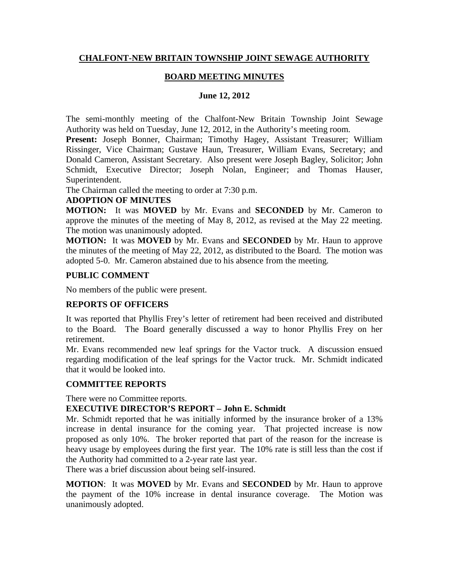## **CHALFONT-NEW BRITAIN TOWNSHIP JOINT SEWAGE AUTHORITY**

## **BOARD MEETING MINUTES**

#### **June 12, 2012**

The semi-monthly meeting of the Chalfont-New Britain Township Joint Sewage Authority was held on Tuesday, June 12, 2012, in the Authority's meeting room.

Present: Joseph Bonner, Chairman; Timothy Hagey, Assistant Treasurer; William Rissinger, Vice Chairman; Gustave Haun, Treasurer, William Evans, Secretary; and Donald Cameron, Assistant Secretary. Also present were Joseph Bagley, Solicitor; John Schmidt, Executive Director; Joseph Nolan, Engineer; and Thomas Hauser, Superintendent.

The Chairman called the meeting to order at 7:30 p.m.

#### **ADOPTION OF MINUTES**

**MOTION:** It was **MOVED** by Mr. Evans and **SECONDED** by Mr. Cameron to approve the minutes of the meeting of May 8, 2012, as revised at the May 22 meeting. The motion was unanimously adopted.

**MOTION:** It was **MOVED** by Mr. Evans and **SECONDED** by Mr. Haun to approve the minutes of the meeting of May 22, 2012, as distributed to the Board. The motion was adopted 5-0. Mr. Cameron abstained due to his absence from the meeting.

### **PUBLIC COMMENT**

No members of the public were present.

# **REPORTS OF OFFICERS**

It was reported that Phyllis Frey's letter of retirement had been received and distributed to the Board. The Board generally discussed a way to honor Phyllis Frey on her retirement.

Mr. Evans recommended new leaf springs for the Vactor truck. A discussion ensued regarding modification of the leaf springs for the Vactor truck. Mr. Schmidt indicated that it would be looked into.

### **COMMITTEE REPORTS**

There were no Committee reports.

### **EXECUTIVE DIRECTOR'S REPORT – John E. Schmidt**

Mr. Schmidt reported that he was initially informed by the insurance broker of a 13% increase in dental insurance for the coming year. That projected increase is now proposed as only 10%. The broker reported that part of the reason for the increase is heavy usage by employees during the first year. The 10% rate is still less than the cost if the Authority had committed to a 2-year rate last year.

There was a brief discussion about being self-insured.

**MOTION**: It was **MOVED** by Mr. Evans and **SECONDED** by Mr. Haun to approve the payment of the 10% increase in dental insurance coverage. The Motion was unanimously adopted.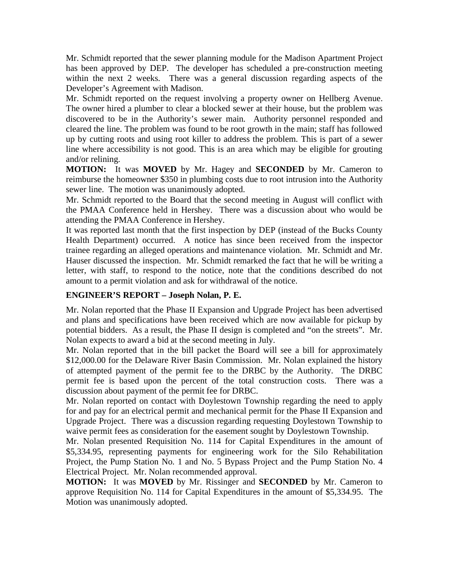Mr. Schmidt reported that the sewer planning module for the Madison Apartment Project has been approved by DEP. The developer has scheduled a pre-construction meeting within the next 2 weeks. There was a general discussion regarding aspects of the Developer's Agreement with Madison.

Mr. Schmidt reported on the request involving a property owner on Hellberg Avenue. The owner hired a plumber to clear a blocked sewer at their house, but the problem was discovered to be in the Authority's sewer main. Authority personnel responded and cleared the line. The problem was found to be root growth in the main; staff has followed up by cutting roots and using root killer to address the problem. This is part of a sewer line where accessibility is not good. This is an area which may be eligible for grouting and/or relining.

**MOTION:** It was **MOVED** by Mr. Hagey and **SECONDED** by Mr. Cameron to reimburse the homeowner \$350 in plumbing costs due to root intrusion into the Authority sewer line. The motion was unanimously adopted.

Mr. Schmidt reported to the Board that the second meeting in August will conflict with the PMAA Conference held in Hershey. There was a discussion about who would be attending the PMAA Conference in Hershey.

It was reported last month that the first inspection by DEP (instead of the Bucks County Health Department) occurred. A notice has since been received from the inspector trainee regarding an alleged operations and maintenance violation. Mr. Schmidt and Mr. Hauser discussed the inspection. Mr. Schmidt remarked the fact that he will be writing a letter, with staff, to respond to the notice, note that the conditions described do not amount to a permit violation and ask for withdrawal of the notice.

# **ENGINEER'S REPORT – Joseph Nolan, P. E.**

Mr. Nolan reported that the Phase II Expansion and Upgrade Project has been advertised and plans and specifications have been received which are now available for pickup by potential bidders. As a result, the Phase II design is completed and "on the streets". Mr. Nolan expects to award a bid at the second meeting in July.

Mr. Nolan reported that in the bill packet the Board will see a bill for approximately \$12,000.00 for the Delaware River Basin Commission. Mr. Nolan explained the history of attempted payment of the permit fee to the DRBC by the Authority. The DRBC permit fee is based upon the percent of the total construction costs. There was a discussion about payment of the permit fee for DRBC.

Mr. Nolan reported on contact with Doylestown Township regarding the need to apply for and pay for an electrical permit and mechanical permit for the Phase II Expansion and Upgrade Project. There was a discussion regarding requesting Doylestown Township to waive permit fees as consideration for the easement sought by Doylestown Township.

Mr. Nolan presented Requisition No. 114 for Capital Expenditures in the amount of \$5,334.95, representing payments for engineering work for the Silo Rehabilitation Project, the Pump Station No. 1 and No. 5 Bypass Project and the Pump Station No. 4 Electrical Project. Mr. Nolan recommended approval.

**MOTION:** It was **MOVED** by Mr. Rissinger and **SECONDED** by Mr. Cameron to approve Requisition No. 114 for Capital Expenditures in the amount of \$5,334.95. The Motion was unanimously adopted.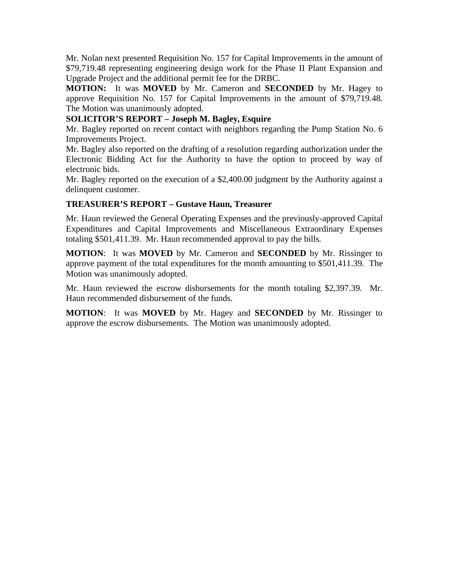Mr. Nolan next presented Requisition No. 157 for Capital Improvements in the amount of \$79,719.48 representing engineering design work for the Phase II Plant Expansion and Upgrade Project and the additional permit fee for the DRBC.

**MOTION:** It was **MOVED** by Mr. Cameron and **SECONDED** by Mr. Hagey to approve Requisition No. 157 for Capital Improvements in the amount of \$79,719.48. The Motion was unanimously adopted.

### **SOLICITOR'S REPORT – Joseph M. Bagley, Esquire**

Mr. Bagley reported on recent contact with neighbors regarding the Pump Station No. 6 Improvements Project.

Mr. Bagley also reported on the drafting of a resolution regarding authorization under the Electronic Bidding Act for the Authority to have the option to proceed by way of electronic bids.

Mr. Bagley reported on the execution of a \$2,400.00 judgment by the Authority against a delinquent customer.

#### **TREASURER'S REPORT – Gustave Haun, Treasurer**

Mr. Haun reviewed the General Operating Expenses and the previously-approved Capital Expenditures and Capital Improvements and Miscellaneous Extraordinary Expenses totaling \$501,411.39. Mr. Haun recommended approval to pay the bills.

**MOTION**: It was **MOVED** by Mr. Cameron and **SECONDED** by Mr. Rissinger to approve payment of the total expenditures for the month amounting to \$501,411.39. The Motion was unanimously adopted.

Mr. Haun reviewed the escrow disbursements for the month totaling \$2,397.39. Mr. Haun recommended disbursement of the funds.

**MOTION**: It was **MOVED** by Mr. Hagey and **SECONDED** by Mr. Rissinger to approve the escrow disbursements. The Motion was unanimously adopted.